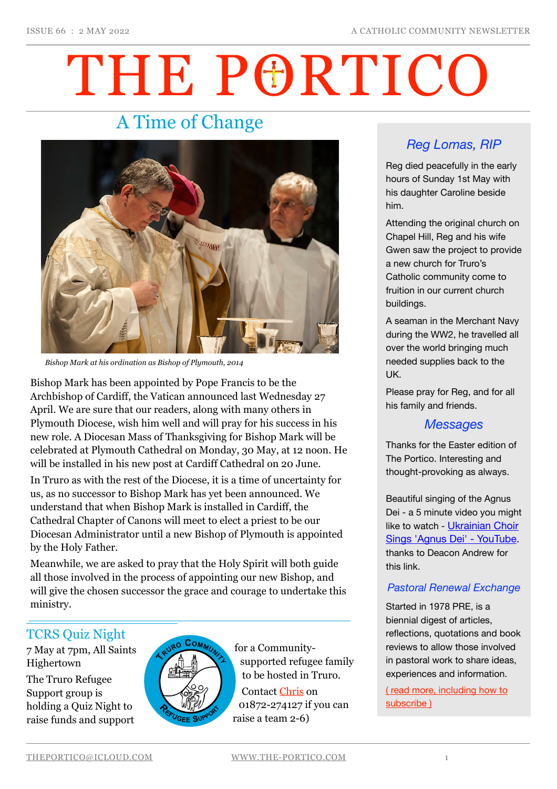# THE PORTICO

# A Time of Change



*Bishop Mark at his ordination as Bishop of Plymouth, 2014*

Bishop Mark has been appointed by Pope Francis to be the Archbishop of Cardiff, the Vatican announced last Wednesday 27 April. We are sure that our readers, along with many others in Plymouth Diocese, wish him well and will pray for his success in his new role. A Diocesan Mass of Thanksgiving for Bishop Mark will be celebrated at Plymouth Cathedral on Monday, 30 May, at 12 noon. He will be installed in his new post at Cardiff Cathedral on 20 June.

In Truro as with the rest of the Diocese, it is a time of uncertainty for us, as no successor to Bishop Mark has yet been announced. We understand that when Bishop Mark is installed in Cardiff, the Cathedral Chapter of Canons will meet to elect a priest to be our Diocesan Administrator until a new Bishop of Plymouth is appointed by the Holy Father.

Meanwhile, we are asked to pray that the Holy Spirit will both guide all those involved in the process of appointing our new Bishop, and will give the chosen successor the grace and courage to undertake this ministry.

#### TCRS Quiz Night

7 May at 7pm, All Saints Highertown

The Truro Refugee Support group is holding a Quiz Night to raise funds and support



for a Communitysupported refugee family to be hosted in Truro. Contact [Chris](mailto:no_reply@apple.com) on 01872-274127 if you can raise a team 2-6)

## *Reg Lomas, RIP*

Reg died peacefully in the early hours of Sunday 1st May with his daughter Caroline beside him.

Attending the original church on Chapel Hill, Reg and his wife Gwen saw the project to provide a new church for Truro's Catholic community come to fruition in our current church buildings.

A seaman in the Merchant Navy during the WW2, he travelled all over the world bringing much needed supplies back to the UK.

Please pray for Reg, and for all his family and friends.

#### *Messages*

Thanks for the Easter edition of The Portico. Interesting and thought-provoking as always.

Beautiful singing of the Agnus Dei - a 5 minute video you might like to watch - Ukrainian Choir [Sings 'Agnus Dei' - YouTube.](https://www.youtube.com/watch?v=WiFfBzMHZNc&ab_channel=BillyGrahamEvangelisticAssociation) thanks to Deacon Andrew for this link.

#### *Pastoral Renewal Exchange*

Started in 1978 PRE, is a biennial digest of articles, reflections, quotations and book reviews to allow those involved in pastoral work to share ideas, experiences and information.

[\( read more, including how to](https://the-portico.com/2022/05/02/pastoral-renewal-exchange-pre/)  [subscribe \)](https://the-portico.com/2022/05/02/pastoral-renewal-exchange-pre/)